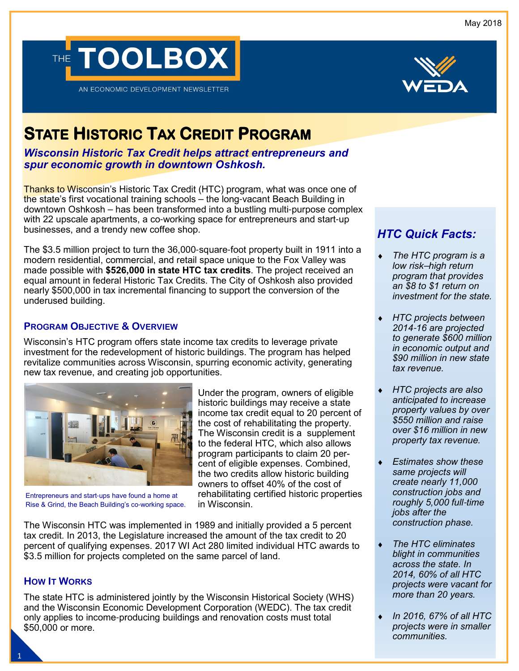May 2018





# **STATEHISTORICTAXCREDITPROGRAM**

*Wisconsin Historic Tax Credit helps attract entrepreneurs and spur economic growth in downtown Oshkosh.*

Thanks to Wisconsin's Historic Tax Credit (HTC) program, what was once one of the state's first vocational training schools – the long-vacant Beach Building in downtown Oshkosh – has been transformed into a bustling multi-purpose complex with 22 upscale apartments, a co-working space for entrepreneurs and start-up businesses, and a trendy new coffee shop.

The \$3.5 million project to turn the 36,000-square-foot property built in 1911 into a modern residential, commercial, and retail space unique to the Fox Valley was made possible with **\$526,000 in state HTC tax credits**. The project received an equal amount in federal Historic Tax Credits. The City of Oshkosh also provided nearly \$500,000 in tax incremental financing to support the conversion of the underused building.

## **PROGRAM OBJECTIVE & OVERVIEW**

Wisconsin's HTC program offers state income tax credits to leverage private investment for the redevelopment of historic buildings. The program has helped revitalize communities across Wisconsin, spurring economic activity, generating new tax revenue, and creating job opportunities.



Entrepreneurs and start-ups have found a home at Rise & Grind, the Beach Building's co-working space.

Under the program, owners of eligible historic buildings may receive a state income tax credit equal to 20 percent of the cost of rehabilitating the property. The Wisconsin credit is a supplement to the federal HTC, which also allows program participants to claim 20 percent of eligible expenses. Combined, the two credits allow historic building owners to offset 40% of the cost of rehabilitating certified historic properties in Wisconsin.

The Wisconsin HTC was implemented in 1989 and initially provided a 5 percent tax credit. In 2013, the Legislature increased the amount of the tax credit to 20 percent of qualifying expenses. 2017 WI Act 280 limited individual HTC awards to \$3.5 million for projects completed on the same parcel of land.

#### **HOW IT WORKS**

The state HTC is administered jointly by the Wisconsin Historical Society (WHS) and the Wisconsin Economic Development Corporation (WEDC). The tax credit only applies to income-producing buildings and renovation costs must total \$50,000 or more.

## *HTC Quick Facts:*

- **The HTC program is a** *low risk*–*high return program that provides an \$8 to \$1 return on investment for the state.*
- ♦ *HTC projects between 2014*-*16 are projected to generate \$600 million in economic output and \$90 million in new state tax revenue.*
- ♦ *HTC projects are also anticipated to increase property values by over \$550 million and raise over \$16 million in new property tax revenue.*
- ♦ *Estimates show these same projects will create nearly 11,000 construction jobs and roughly 5,000 full*-*time jobs after the construction phase.*
- **The HTC eliminates** *blight in communities across the state. In 2014, 60% of all HTC projects were vacant for more than 20 years.*
- ♦ *In 2016, 67% of all HTC projects were in smaller communities.*